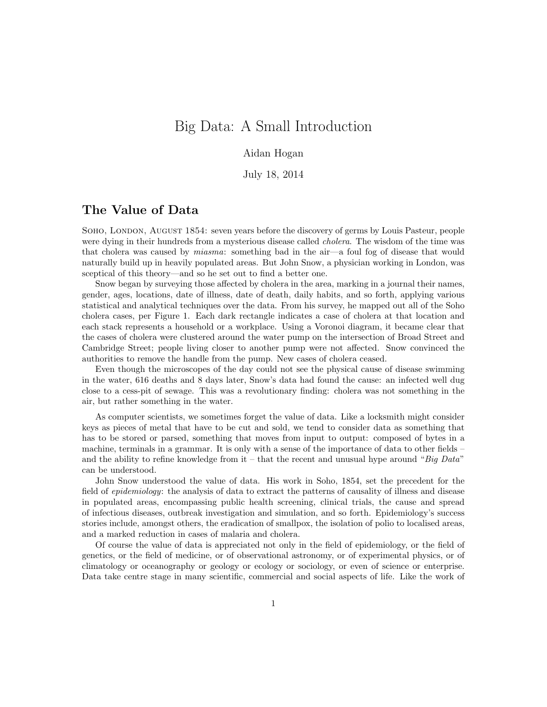# Big Data: A Small Introduction

#### Aidan Hogan

July 18, 2014

#### The Value of Data

Soho, London, August 1854: seven years before the discovery of germs by Louis Pasteur, people were dying in their hundreds from a mysterious disease called *cholera*. The wisdom of the time was that cholera was caused by miasma: something bad in the air—a foul fog of disease that would naturally build up in heavily populated areas. But John Snow, a physician working in London, was sceptical of this theory—and so he set out to find a better one.

Snow began by surveying those affected by cholera in the area, marking in a journal their names, gender, ages, locations, date of illness, date of death, daily habits, and so forth, applying various statistical and analytical techniques over the data. From his survey, he mapped out all of the Soho cholera cases, per Figure 1. Each dark rectangle indicates a case of cholera at that location and each stack represents a household or a workplace. Using a Voronoi diagram, it became clear that the cases of cholera were clustered around the water pump on the intersection of Broad Street and Cambridge Street; people living closer to another pump were not affected. Snow convinced the authorities to remove the handle from the pump. New cases of cholera ceased.

Even though the microscopes of the day could not see the physical cause of disease swimming in the water, 616 deaths and 8 days later, Snow's data had found the cause: an infected well dug close to a cess-pit of sewage. This was a revolutionary finding: cholera was not something in the air, but rather something in the water.

As computer scientists, we sometimes forget the value of data. Like a locksmith might consider keys as pieces of metal that have to be cut and sold, we tend to consider data as something that has to be stored or parsed, something that moves from input to output: composed of bytes in a machine, terminals in a grammar. It is only with a sense of the importance of data to other fields – and the ability to refine knowledge from it – that the recent and unusual hype around " $Big Data"$ " can be understood.

John Snow understood the value of data. His work in Soho, 1854, set the precedent for the field of *epidemiology*: the analysis of data to extract the patterns of causality of illness and disease in populated areas, encompassing public health screening, clinical trials, the cause and spread of infectious diseases, outbreak investigation and simulation, and so forth. Epidemiology's success stories include, amongst others, the eradication of smallpox, the isolation of polio to localised areas, and a marked reduction in cases of malaria and cholera.

Of course the value of data is appreciated not only in the field of epidemiology, or the field of genetics, or the field of medicine, or of observational astronomy, or of experimental physics, or of climatology or oceanography or geology or ecology or sociology, or even of science or enterprise. Data take centre stage in many scientific, commercial and social aspects of life. Like the work of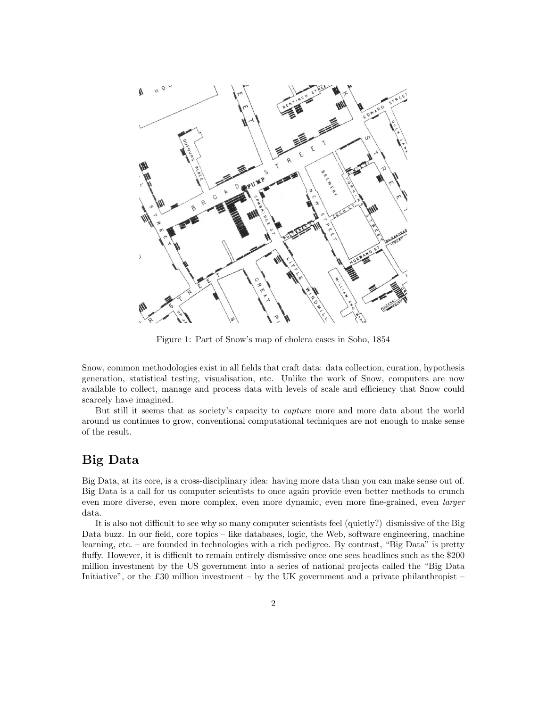

Figure 1: Part of Snow's map of cholera cases in Soho, 1854

Snow, common methodologies exist in all fields that craft data: data collection, curation, hypothesis generation, statistical testing, visualisation, etc. Unlike the work of Snow, computers are now available to collect, manage and process data with levels of scale and efficiency that Snow could scarcely have imagined.

But still it seems that as society's capacity to capture more and more data about the world around us continues to grow, conventional computational techniques are not enough to make sense of the result.

### Big Data

Big Data, at its core, is a cross-disciplinary idea: having more data than you can make sense out of. Big Data is a call for us computer scientists to once again provide even better methods to crunch even more diverse, even more complex, even more dynamic, even more fine-grained, even larger data.

It is also not difficult to see why so many computer scientists feel (quietly?) dismissive of the Big Data buzz. In our field, core topics – like databases, logic, the Web, software engineering, machine learning, etc. – are founded in technologies with a rich pedigree. By contrast, "Big Data" is pretty fluffy. However, it is difficult to remain entirely dismissive once one sees headlines such as the \$200 million investment by the US government into a series of national projects called the "Big Data Initiative", or the £30 million investment – by the UK government and a private philanthropist –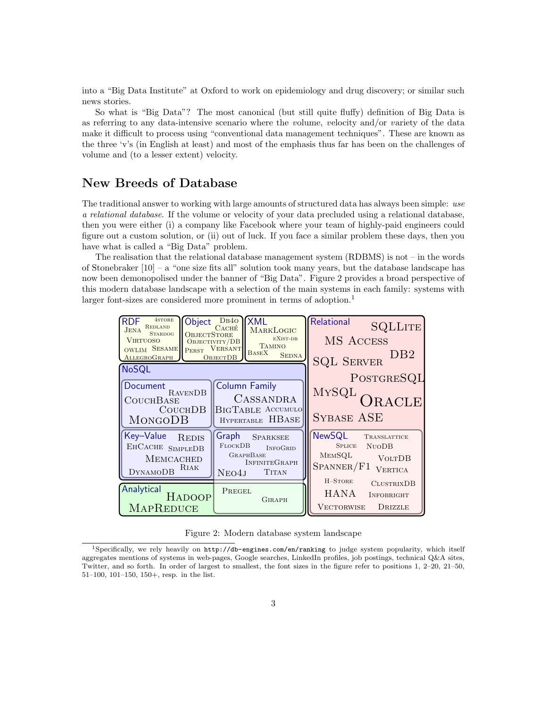into a "Big Data Institute" at Oxford to work on epidemiology and drug discovery; or similar such news stories.

So what is "Big Data"? The most canonical (but still quite fluffy) definition of Big Data is as referring to any data-intensive scenario where the volume, velocity and/or variety of the data make it difficult to process using "conventional data management techniques". These are known as the three 'v's (in English at least) and most of the emphasis thus far has been on the challenges of volume and (to a lesser extent) velocity.

#### New Breeds of Database

The traditional answer to working with large amounts of structured data has always been simple: use a relational database. If the volume or velocity of your data precluded using a relational database, then you were either (i) a company like Facebook where your team of highly-paid engineers could figure out a custom solution, or (ii) out of luck. If you face a similar problem these days, then you have what is called a "Big Data" problem.

The realisation that the relational database management system (RDBMS) is not – in the words of Stonebraker  $[10]$  – a "one size fits all" solution took many years, but the database landscape has now been demonopolised under the banner of "Big Data". Figure 2 provides a broad perspective of this modern database landscape with a selection of the main systems in each family: systems with larger font-sizes are considered more prominent in terms of adoption.<sup>1</sup>



Figure 2: Modern database system landscape

<sup>&</sup>lt;sup>1</sup>Specifically, we rely heavily on  $http://db-engines.com/en/ranking$  to judge system popularity, which itself aggregates mentions of systems in web-pages, Google searches, LinkedIn profiles, job postings, technical Q&A sites, Twitter, and so forth. In order of largest to smallest, the font sizes in the figure refer to positions 1, 2–20, 21–50, 51–100, 101–150, 150+, resp. in the list.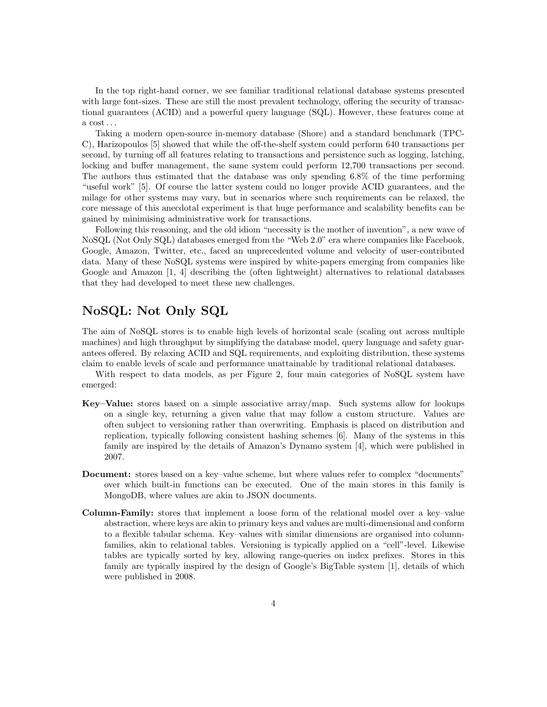In the top right-hand corner, we see familiar traditional relational database systems presented with large font-sizes. These are still the most prevalent technology, offering the security of transactional guarantees (ACID) and a powerful query language (SQL). However, these features come at a  $cost \dots$ 

Taking a modern open-source in-memory database (Shore) and a standard benchmark (TPC-C), Harizopoulos [5] showed that while the off-the-shelf system could perform 640 transactions per second, by turning off all features relating to transactions and persistence such as logging, latching, locking and buffer management, the same system could perform 12,700 transactions per second. The authors thus estimated that the database was only spending 6.8% of the time performing "useful work" [5]. Of course the latter system could no longer provide ACID guarantees, and the milage for other systems may vary, but in scenarios where such requirements can be relaxed, the core message of this anecdotal experiment is that huge performance and scalability benefits can be gained by minimising administrative work for transactions.

Following this reasoning, and the old idiom "necessity is the mother of invention", a new wave of NoSQL (Not Only SQL) databases emerged from the "Web 2.0" era where companies like Facebook, Google, Amazon, Twitter, etc., faced an unprecedented volume and velocity of user-contributed data. Many of these NoSQL systems were inspired by white-papers emerging from companies like Google and Amazon [1, 4] describing the (often lightweight) alternatives to relational databases that they had developed to meet these new challenges.

### NoSQL: Not Only SQL

The aim of NoSQL stores is to enable high levels of horizontal scale (scaling out across multiple machines) and high throughput by simplifying the database model, query language and safety guarantees offered. By relaxing ACID and SQL requirements, and exploiting distribution, these systems claim to enable levels of scale and performance unattainable by traditional relational databases.

With respect to data models, as per Figure 2, four main categories of NoSQL system have emerged:

- Key–Value: stores based on a simple associative array/map. Such systems allow for lookups on a single key, returning a given value that may follow a custom structure. Values are often subject to versioning rather than overwriting. Emphasis is placed on distribution and replication, typically following consistent hashing schemes [6]. Many of the systems in this family are inspired by the details of Amazon's Dynamo system [4], which were published in 2007.
- Document: stores based on a key–value scheme, but where values refer to complex "documents" over which built-in functions can be executed. One of the main stores in this family is MongoDB, where values are akin to JSON documents.
- Column-Family: stores that implement a loose form of the relational model over a key–value abstraction, where keys are akin to primary keys and values are multi-dimensional and conform to a flexible tabular schema. Key–values with similar dimensions are organised into columnfamilies, akin to relational tables. Versioning is typically applied on a "cell"-level. Likewise tables are typically sorted by key, allowing range-queries on index prefixes. Stores in this family are typically inspired by the design of Google's BigTable system [1], details of which were published in 2008.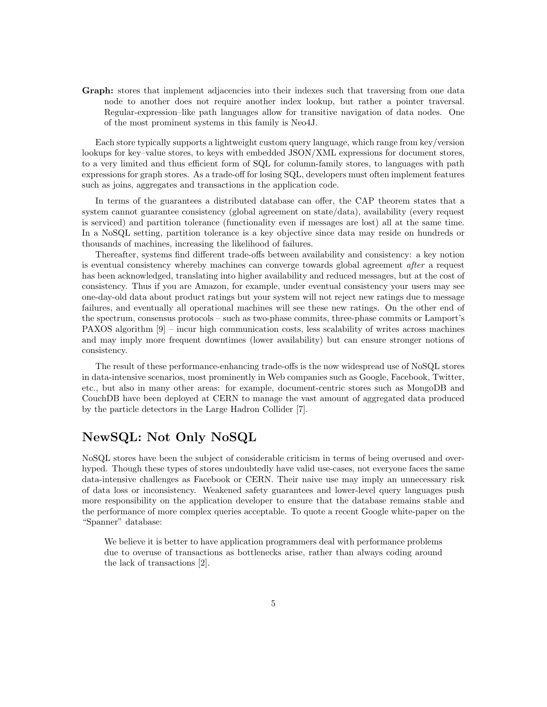Graph: stores that implement adjacencies into their indexes such that traversing from one data node to another does not require another index lookup, but rather a pointer traversal. Regular-expression–like path languages allow for transitive navigation of data nodes. One of the most prominent systems in this family is Neo4J.

Each store typically supports a lightweight custom query language, which range from key/version lookups for key–value stores, to keys with embedded JSON/XML expressions for document stores, to a very limited and thus efficient form of SQL for column-family stores, to languages with path expressions for graph stores. As a trade-off for losing SQL, developers must often implement features such as joins, aggregates and transactions in the application code.

In terms of the guarantees a distributed database can offer, the CAP theorem states that a system cannot guarantee consistency (global agreement on state/data), availability (every request is serviced) and partition tolerance (functionality even if messages are lost) all at the same time. In a NoSQL setting, partition tolerance is a key objective since data may reside on hundreds or thousands of machines, increasing the likelihood of failures.

Thereafter, systems find different trade-offs between availability and consistency: a key notion is eventual consistency whereby machines can converge towards global agreement *after* a request has been acknowledged, translating into higher availability and reduced messages, but at the cost of consistency. Thus if you are Amazon, for example, under eventual consistency your users may see one-day-old data about product ratings but your system will not reject new ratings due to message failures, and eventually all operational machines will see these new ratings. On the other end of the spectrum, consensus protocols – such as two-phase commits, three-phase commits or Lamport's PAXOS algorithm [9] – incur high communication costs, less scalability of writes across machines and may imply more frequent downtimes (lower availability) but can ensure stronger notions of consistency.

The result of these performance-enhancing trade-offs is the now widespread use of NoSQL stores in data-intensive scenarios, most prominently in Web companies such as Google, Facebook, Twitter, etc., but also in many other areas: for example, document-centric stores such as MongoDB and CouchDB have been deployed at CERN to manage the vast amount of aggregated data produced by the particle detectors in the Large Hadron Collider [7].

## NewSQL: Not Only NoSQL

NoSQL stores have been the subject of considerable criticism in terms of being overused and overhyped. Though these types of stores undoubtedly have valid use-cases, not everyone faces the same data-intensive challenges as Facebook or CERN. Their naive use may imply an unnecessary risk of data loss or inconsistency. Weakened safety guarantees and lower-level query languages push more responsibility on the application developer to ensure that the database remains stable and the performance of more complex queries acceptable. To quote a recent Google white-paper on the "Spanner" database:

We believe it is better to have application programmers deal with performance problems due to overuse of transactions as bottlenecks arise, rather than always coding around the lack of transactions [2].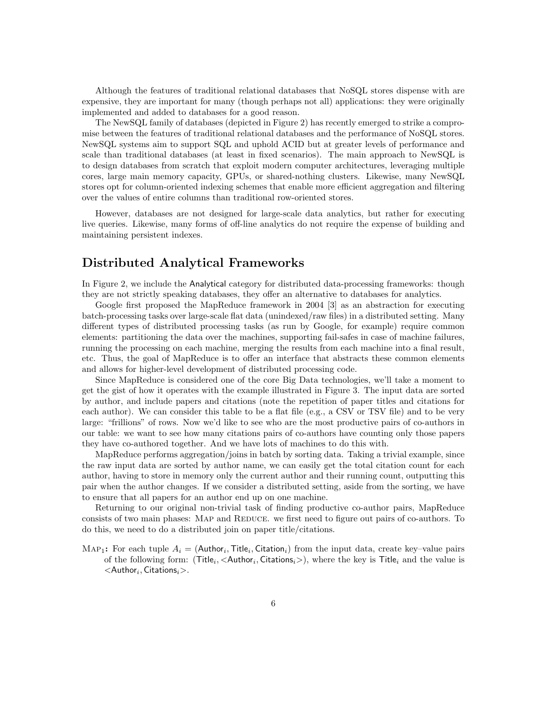Although the features of traditional relational databases that NoSQL stores dispense with are expensive, they are important for many (though perhaps not all) applications: they were originally implemented and added to databases for a good reason.

The NewSQL family of databases (depicted in Figure 2) has recently emerged to strike a compromise between the features of traditional relational databases and the performance of NoSQL stores. NewSQL systems aim to support SQL and uphold ACID but at greater levels of performance and scale than traditional databases (at least in fixed scenarios). The main approach to NewSQL is to design databases from scratch that exploit modern computer architectures, leveraging multiple cores, large main memory capacity, GPUs, or shared-nothing clusters. Likewise, many NewSQL stores opt for column-oriented indexing schemes that enable more efficient aggregation and filtering over the values of entire columns than traditional row-oriented stores.

However, databases are not designed for large-scale data analytics, but rather for executing live queries. Likewise, many forms of off-line analytics do not require the expense of building and maintaining persistent indexes.

### Distributed Analytical Frameworks

In Figure 2, we include the Analytical category for distributed data-processing frameworks: though they are not strictly speaking databases, they offer an alternative to databases for analytics.

Google first proposed the MapReduce framework in 2004 [3] as an abstraction for executing batch-processing tasks over large-scale flat data (unindexed/raw files) in a distributed setting. Many different types of distributed processing tasks (as run by Google, for example) require common elements: partitioning the data over the machines, supporting fail-safes in case of machine failures, running the processing on each machine, merging the results from each machine into a final result, etc. Thus, the goal of MapReduce is to offer an interface that abstracts these common elements and allows for higher-level development of distributed processing code.

Since MapReduce is considered one of the core Big Data technologies, we'll take a moment to get the gist of how it operates with the example illustrated in Figure 3. The input data are sorted by author, and include papers and citations (note the repetition of paper titles and citations for each author). We can consider this table to be a flat file (e.g., a CSV or TSV file) and to be very large: "frillions" of rows. Now we'd like to see who are the most productive pairs of co-authors in our table: we want to see how many citations pairs of co-authors have counting only those papers they have co-authored together. And we have lots of machines to do this with.

MapReduce performs aggregation/joins in batch by sorting data. Taking a trivial example, since the raw input data are sorted by author name, we can easily get the total citation count for each author, having to store in memory only the current author and their running count, outputting this pair when the author changes. If we consider a distributed setting, aside from the sorting, we have to ensure that all papers for an author end up on one machine.

Returning to our original non-trivial task of finding productive co-author pairs, MapReduce consists of two main phases: MAP and REDUCE. we first need to figure out pairs of co-authors. To do this, we need to do a distributed join on paper title/citations.

MAP<sub>1</sub>: For each tuple  $A_i = ($ Author<sub>i</sub>, Title<sub>i</sub>, Citation<sub>i</sub>) from the input data, create key-value pairs of the following form: (Title<sub>i</sub>,  $<$ Author<sub>i</sub>, Citations<sub>i</sub> $>$ ), where the key is Title<sub>i</sub> and the value is  $<$ Author $_i$ , Citations $_i$  $>$ .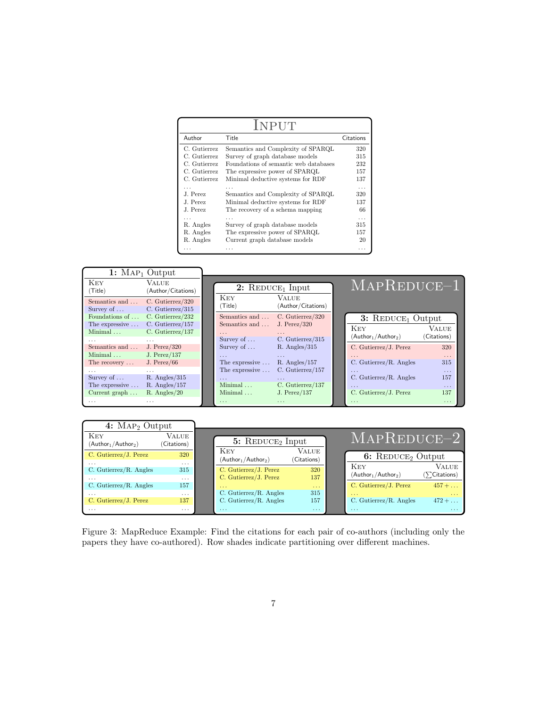| INPUT        |                                       |           |  |  |  |  |  |
|--------------|---------------------------------------|-----------|--|--|--|--|--|
| Author       | Title                                 | Citations |  |  |  |  |  |
| C. Gutierrez | Semantics and Complexity of SPARQL    | 320       |  |  |  |  |  |
| C. Gutierrez | Survey of graph database models       | 315       |  |  |  |  |  |
| C. Gutierrez | Foundations of semantic web databases | 232       |  |  |  |  |  |
| C. Gutierrez | The expressive power of SPARQL        | 157       |  |  |  |  |  |
| C. Gutierrez | Minimal deductive systems for RDF     | 137       |  |  |  |  |  |
|              |                                       | $\cdots$  |  |  |  |  |  |
| J. Perez     | Semantics and Complexity of SPARQL    | 320       |  |  |  |  |  |
| J. Perez     | Minimal deductive systems for RDF     | 137       |  |  |  |  |  |
| J. Perez     | The recovery of a schema mapping      | 66        |  |  |  |  |  |
|              |                                       | .         |  |  |  |  |  |
| R. Angles    | Survey of graph database models       | 315       |  |  |  |  |  |
| R. Angles    | The expressive power of SPARQL        | 157       |  |  |  |  |  |
| R. Angles    | Current graph database models         | 20        |  |  |  |  |  |
|              | .                                     | .         |  |  |  |  |  |



| 4: $\text{MAP}_2$ Output           |                      |                    |                                                  |                             |                                    |                                        |  |
|------------------------------------|----------------------|--------------------|--------------------------------------------------|-----------------------------|------------------------------------|----------------------------------------|--|
| <b>KEY</b><br>$(Author1/Author2)$  | VALUE<br>(Citations) | 5: $REDUCE2 Input$ |                                                  |                             | $MAPREDUCE-2$                      |                                        |  |
| C. Gutierrez/J. Perez              | 320                  |                    | <b>KEY</b><br>$(Author1/Author2)$                | <b>VALUE</b><br>(Citations) | 6: $REDUCE2 Output$                |                                        |  |
| $\cdots$<br>C. Gutierrez/R. Angles | $\cdots$<br>315      |                    | C. Gutierrez/J. Perez<br>C. Gutierrez/J. Perez   | 320<br>137                  | <b>KEY</b><br>$(Author1/Author2)$  | Value<br>$(\sum \text{Citations})$     |  |
| $\cdots$<br>C. Gutierrez/R. Angles | $\cdots$<br>157      |                    | $\sim$ $\sim$ $\sim$                             | $\sim$ $\sim$ $\sim$        | C. Gutierrez/J. Perez              | $457 + \ldots$                         |  |
| $\cdots$<br>C. Gutierrez/J. Perez  | $\cdots$<br>137      |                    | C. Gutierrez/R. Angles<br>C. Gutierrez/R. Angles | 315<br>157                  | $\cdots$<br>C. Gutierrez/R. Angles | $\sim$ $\sim$ $\sim$<br>$472 + \ldots$ |  |
| $\cdots$                           | $\cdots$             |                    | $\cdots$                                         | $\cdots$                    | $\cdots$                           | $\cdots$                               |  |

Figure 3: MapReduce Example: Find the citations for each pair of co-authors (including only the papers they have co-authored). Row shades indicate partitioning over different machines.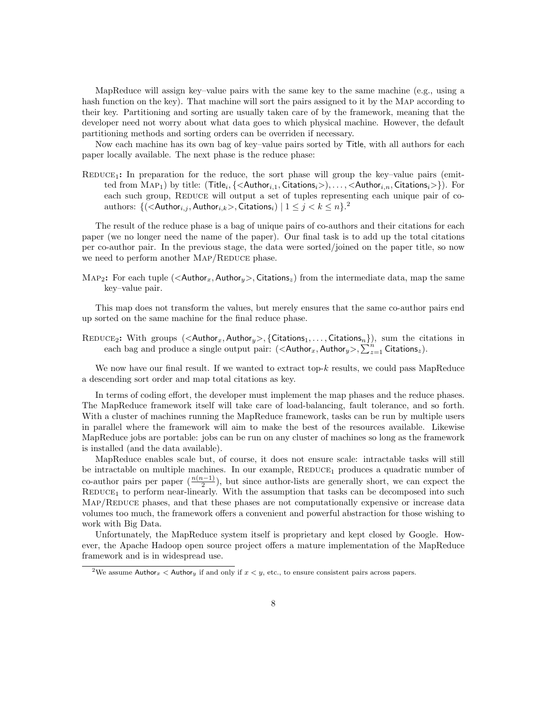MapReduce will assign key–value pairs with the same key to the same machine (e.g., using a hash function on the key). That machine will sort the pairs assigned to it by the MAP according to their key. Partitioning and sorting are usually taken care of by the framework, meaning that the developer need not worry about what data goes to which physical machine. However, the default partitioning methods and sorting orders can be overriden if necessary.

Now each machine has its own bag of key–value pairs sorted by Title, with all authors for each paper locally available. The next phase is the reduce phase:

 $REDuce_1$ : In preparation for the reduce, the sort phase will group the key–value pairs (emitted from  $\text{MAP}_1)$  by title:  $(\textsf{Title}_i, \{\textsf{}\}, \dots, \textsf{}\}).$  For each such group, REDUCE will output a set of tuples representing each unique pair of coauthors: { $\{(\leq \mathsf{Author}_{i,j}, \mathsf{Author}_{i,k}>, \mathsf{Citations}_i) \mid 1 \leq j < k \leq n\}$ .<sup>2</sup>

The result of the reduce phase is a bag of unique pairs of co-authors and their citations for each paper (we no longer need the name of the paper). Our final task is to add up the total citations per co-author pair. In the previous stage, the data were sorted/joined on the paper title, so now we need to perform another MAP/REDUCE phase.

Map<sub>2</sub>: For each tuple ( $\langle$ Author<sub>x</sub>, Author<sub>y</sub> $\rangle$ , Citations<sub>z</sub>) from the intermediate data, map the same key–value pair.

This map does not transform the values, but merely ensures that the same co-author pairs end up sorted on the same machine for the final reduce phase.

REDUCE<sub>2</sub>: With groups (<Author<sub>x</sub>, Author<sub>y</sub>>, {Citations<sub>1</sub>, ..., Citations<sub>n</sub>}), sum the citations in each bag and produce a single output pair:  $(<$ Author<sub>x</sub>, Author<sub>y</sub>>,  $\sum_{z=1}^{n}$  Citations<sub>z</sub>).

We now have our final result. If we wanted to extract top-k results, we could pass MapReduce a descending sort order and map total citations as key.

In terms of coding effort, the developer must implement the map phases and the reduce phases. The MapReduce framework itself will take care of load-balancing, fault tolerance, and so forth. With a cluster of machines running the MapReduce framework, tasks can be run by multiple users in parallel where the framework will aim to make the best of the resources available. Likewise MapReduce jobs are portable: jobs can be run on any cluster of machines so long as the framework is installed (and the data available).

MapReduce enables scale but, of course, it does not ensure scale: intractable tasks will still be intractable on multiple machines. In our example,  $REDICE<sub>1</sub>$  produces a quadratic number of co-author pairs per paper  $(\frac{n(n-1)}{2})$ , but since author-lists are generally short, we can expect the  $REDuce<sub>1</sub>$  to perform near-linearly. With the assumption that tasks can be decomposed into such MAP/REDUCE phases, and that these phases are not computationally expensive or increase data volumes too much, the framework offers a convenient and powerful abstraction for those wishing to work with Big Data.

Unfortunately, the MapReduce system itself is proprietary and kept closed by Google. However, the Apache Hadoop open source project offers a mature implementation of the MapReduce framework and is in widespread use.

<sup>&</sup>lt;sup>2</sup>We assume Author<sub>x</sub> < Author<sub>y</sub> if and only if  $x < y$ , etc., to ensure consistent pairs across papers.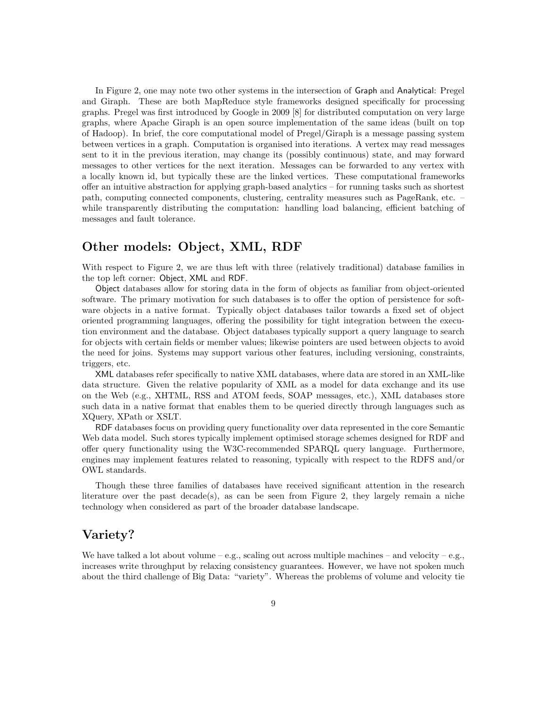In Figure 2, one may note two other systems in the intersection of Graph and Analytical: Pregel and Giraph. These are both MapReduce style frameworks designed specifically for processing graphs. Pregel was first introduced by Google in 2009 [8] for distributed computation on very large graphs, where Apache Giraph is an open source implementation of the same ideas (built on top of Hadoop). In brief, the core computational model of Pregel/Giraph is a message passing system between vertices in a graph. Computation is organised into iterations. A vertex may read messages sent to it in the previous iteration, may change its (possibly continuous) state, and may forward messages to other vertices for the next iteration. Messages can be forwarded to any vertex with a locally known id, but typically these are the linked vertices. These computational frameworks offer an intuitive abstraction for applying graph-based analytics – for running tasks such as shortest path, computing connected components, clustering, centrality measures such as PageRank, etc. – while transparently distributing the computation: handling load balancing, efficient batching of messages and fault tolerance.

#### Other models: Object, XML, RDF

With respect to Figure 2, we are thus left with three (relatively traditional) database families in the top left corner: Object, XML and RDF.

Object databases allow for storing data in the form of objects as familiar from object-oriented software. The primary motivation for such databases is to offer the option of persistence for software objects in a native format. Typically object databases tailor towards a fixed set of object oriented programming languages, offering the possibility for tight integration between the execution environment and the database. Object databases typically support a query language to search for objects with certain fields or member values; likewise pointers are used between objects to avoid the need for joins. Systems may support various other features, including versioning, constraints, triggers, etc.

XML databases refer specifically to native XML databases, where data are stored in an XML-like data structure. Given the relative popularity of XML as a model for data exchange and its use on the Web (e.g., XHTML, RSS and ATOM feeds, SOAP messages, etc.), XML databases store such data in a native format that enables them to be queried directly through languages such as XQuery, XPath or XSLT.

RDF databases focus on providing query functionality over data represented in the core Semantic Web data model. Such stores typically implement optimised storage schemes designed for RDF and offer query functionality using the W3C-recommended SPARQL query language. Furthermore, engines may implement features related to reasoning, typically with respect to the RDFS and/or OWL standards.

Though these three families of databases have received significant attention in the research literature over the past  $de(a)$ , as can be seen from Figure 2, they largely remain a niche technology when considered as part of the broader database landscape.

### Variety?

We have talked a lot about volume – e.g., scaling out across multiple machines – and velocity – e.g., increases write throughput by relaxing consistency guarantees. However, we have not spoken much about the third challenge of Big Data: "variety". Whereas the problems of volume and velocity tie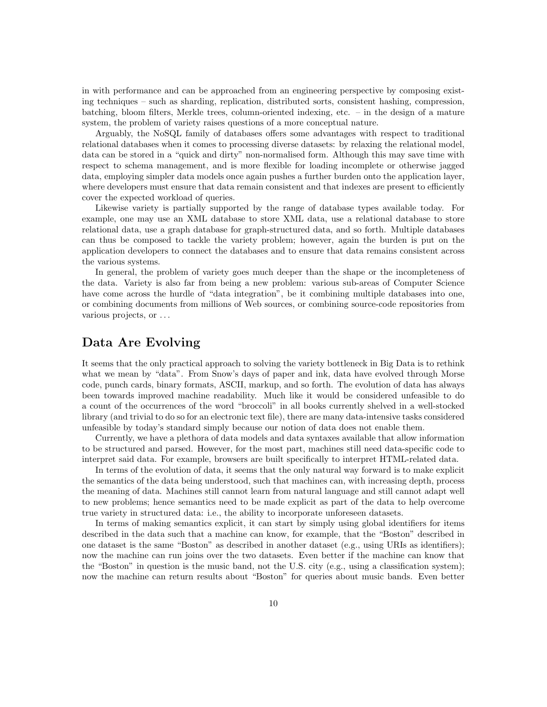in with performance and can be approached from an engineering perspective by composing existing techniques – such as sharding, replication, distributed sorts, consistent hashing, compression, batching, bloom filters, Merkle trees, column-oriented indexing, etc. – in the design of a mature system, the problem of variety raises questions of a more conceptual nature.

Arguably, the NoSQL family of databases offers some advantages with respect to traditional relational databases when it comes to processing diverse datasets: by relaxing the relational model, data can be stored in a "quick and dirty" non-normalised form. Although this may save time with respect to schema management, and is more flexible for loading incomplete or otherwise jagged data, employing simpler data models once again pushes a further burden onto the application layer, where developers must ensure that data remain consistent and that indexes are present to efficiently cover the expected workload of queries.

Likewise variety is partially supported by the range of database types available today. For example, one may use an XML database to store XML data, use a relational database to store relational data, use a graph database for graph-structured data, and so forth. Multiple databases can thus be composed to tackle the variety problem; however, again the burden is put on the application developers to connect the databases and to ensure that data remains consistent across the various systems.

In general, the problem of variety goes much deeper than the shape or the incompleteness of the data. Variety is also far from being a new problem: various sub-areas of Computer Science have come across the hurdle of "data integration", be it combining multiple databases into one, or combining documents from millions of Web sources, or combining source-code repositories from various projects, or . . .

### Data Are Evolving

It seems that the only practical approach to solving the variety bottleneck in Big Data is to rethink what we mean by "data". From Snow's days of paper and ink, data have evolved through Morse code, punch cards, binary formats, ASCII, markup, and so forth. The evolution of data has always been towards improved machine readability. Much like it would be considered unfeasible to do a count of the occurrences of the word "broccoli" in all books currently shelved in a well-stocked library (and trivial to do so for an electronic text file), there are many data-intensive tasks considered unfeasible by today's standard simply because our notion of data does not enable them.

Currently, we have a plethora of data models and data syntaxes available that allow information to be structured and parsed. However, for the most part, machines still need data-specific code to interpret said data. For example, browsers are built specifically to interpret HTML-related data.

In terms of the evolution of data, it seems that the only natural way forward is to make explicit the semantics of the data being understood, such that machines can, with increasing depth, process the meaning of data. Machines still cannot learn from natural language and still cannot adapt well to new problems; hence semantics need to be made explicit as part of the data to help overcome true variety in structured data: i.e., the ability to incorporate unforeseen datasets.

In terms of making semantics explicit, it can start by simply using global identifiers for items described in the data such that a machine can know, for example, that the "Boston" described in one dataset is the same "Boston" as described in another dataset (e.g., using URIs as identifiers); now the machine can run joins over the two datasets. Even better if the machine can know that the "Boston" in question is the music band, not the U.S. city (e.g., using a classification system); now the machine can return results about "Boston" for queries about music bands. Even better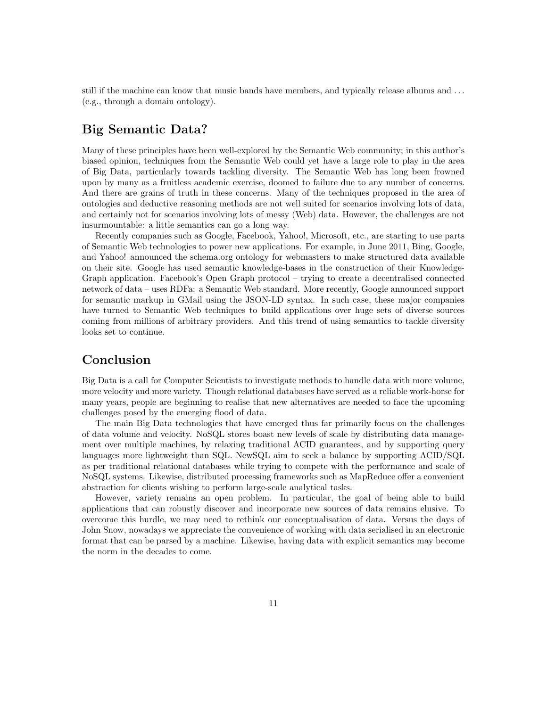still if the machine can know that music bands have members, and typically release albums and . . . (e.g., through a domain ontology).

# Big Semantic Data?

Many of these principles have been well-explored by the Semantic Web community; in this author's biased opinion, techniques from the Semantic Web could yet have a large role to play in the area of Big Data, particularly towards tackling diversity. The Semantic Web has long been frowned upon by many as a fruitless academic exercise, doomed to failure due to any number of concerns. And there are grains of truth in these concerns. Many of the techniques proposed in the area of ontologies and deductive reasoning methods are not well suited for scenarios involving lots of data, and certainly not for scenarios involving lots of messy (Web) data. However, the challenges are not insurmountable: a little semantics can go a long way.

Recently companies such as Google, Facebook, Yahoo!, Microsoft, etc., are starting to use parts of Semantic Web technologies to power new applications. For example, in June 2011, Bing, Google, and Yahoo! announced the schema.org ontology for webmasters to make structured data available on their site. Google has used semantic knowledge-bases in the construction of their Knowledge-Graph application. Facebook's Open Graph protocol – trying to create a decentralised connected network of data – uses RDFa: a Semantic Web standard. More recently, Google announced support for semantic markup in GMail using the JSON-LD syntax. In such case, these major companies have turned to Semantic Web techniques to build applications over huge sets of diverse sources coming from millions of arbitrary providers. And this trend of using semantics to tackle diversity looks set to continue.

# Conclusion

Big Data is a call for Computer Scientists to investigate methods to handle data with more volume, more velocity and more variety. Though relational databases have served as a reliable work-horse for many years, people are beginning to realise that new alternatives are needed to face the upcoming challenges posed by the emerging flood of data.

The main Big Data technologies that have emerged thus far primarily focus on the challenges of data volume and velocity. NoSQL stores boast new levels of scale by distributing data management over multiple machines, by relaxing traditional ACID guarantees, and by supporting query languages more lightweight than SQL. NewSQL aim to seek a balance by supporting ACID/SQL as per traditional relational databases while trying to compete with the performance and scale of NoSQL systems. Likewise, distributed processing frameworks such as MapReduce offer a convenient abstraction for clients wishing to perform large-scale analytical tasks.

However, variety remains an open problem. In particular, the goal of being able to build applications that can robustly discover and incorporate new sources of data remains elusive. To overcome this hurdle, we may need to rethink our conceptualisation of data. Versus the days of John Snow, nowadays we appreciate the convenience of working with data serialised in an electronic format that can be parsed by a machine. Likewise, having data with explicit semantics may become the norm in the decades to come.